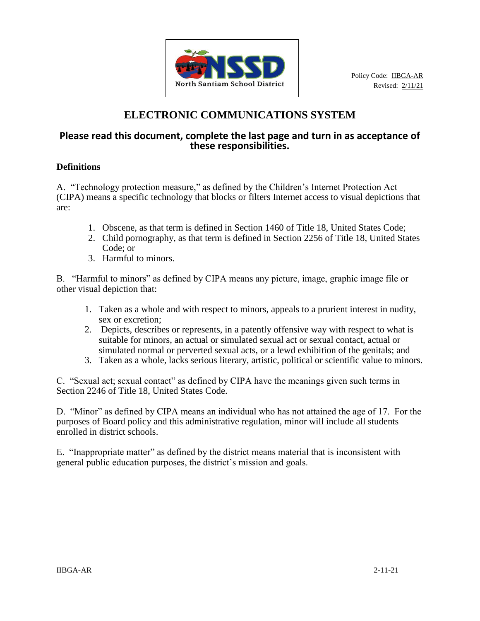

# **ELECTRONIC COMMUNICATIONS SYSTEM**

# **Please read this document, complete the last page and turn in as acceptance of these responsibilities.**

# **Definitions**

A. "Technology protection measure," as defined by the Children's Internet Protection Act (CIPA) means a specific technology that blocks or filters Internet access to visual depictions that are:

- 1. Obscene, as that term is defined in Section 1460 of Title 18, United States Code;
- 2. Child pornography, as that term is defined in Section 2256 of Title 18, United States Code; or
- 3. Harmful to minors.

B. "Harmful to minors" as defined by CIPA means any picture, image, graphic image file or other visual depiction that:

- 1. Taken as a whole and with respect to minors, appeals to a prurient interest in nudity, sex or excretion;
- 2. Depicts, describes or represents, in a patently offensive way with respect to what is suitable for minors, an actual or simulated sexual act or sexual contact, actual or simulated normal or perverted sexual acts, or a lewd exhibition of the genitals; and
- 3. Taken as a whole, lacks serious literary, artistic, political or scientific value to minors.

C. "Sexual act; sexual contact" as defined by CIPA have the meanings given such terms in Section 2246 of Title 18, United States Code.

D. "Minor" as defined by CIPA means an individual who has not attained the age of 17. For the purposes of Board policy and this administrative regulation, minor will include all students enrolled in district schools.

E. "Inappropriate matter" as defined by the district means material that is inconsistent with general public education purposes, the district's mission and goals.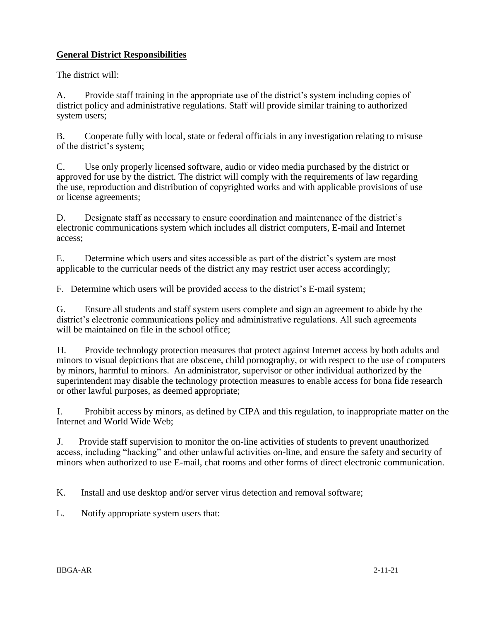## **General District Responsibilities**

The district will:

A. Provide staff training in the appropriate use of the district's system including copies of district policy and administrative regulations. Staff will provide similar training to authorized system users;

B. Cooperate fully with local, state or federal officials in any investigation relating to misuse of the district's system;

C. Use only properly licensed software, audio or video media purchased by the district or approved for use by the district. The district will comply with the requirements of law regarding the use, reproduction and distribution of copyrighted works and with applicable provisions of use or license agreements;

D. Designate staff as necessary to ensure coordination and maintenance of the district's electronic communications system which includes all district computers, E-mail and Internet access;

E. Determine which users and sites accessible as part of the district's system are most applicable to the curricular needs of the district any may restrict user access accordingly;

F. Determine which users will be provided access to the district's E-mail system;

G. Ensure all students and staff system users complete and sign an agreement to abide by the district's electronic communications policy and administrative regulations. All such agreements will be maintained on file in the school office:

H. Provide technology protection measures that protect against Internet access by both adults and minors to visual depictions that are obscene, child pornography, or with respect to the use of computers by minors, harmful to minors. An administrator, supervisor or other individual authorized by the superintendent may disable the technology protection measures to enable access for bona fide research or other lawful purposes, as deemed appropriate;

I. Prohibit access by minors, as defined by CIPA and this regulation, to inappropriate matter on the Internet and World Wide Web;

J. Provide staff supervision to monitor the on-line activities of students to prevent unauthorized access, including "hacking" and other unlawful activities on-line, and ensure the safety and security of minors when authorized to use E-mail, chat rooms and other forms of direct electronic communication.

K. Install and use desktop and/or server virus detection and removal software;

L. Notify appropriate system users that: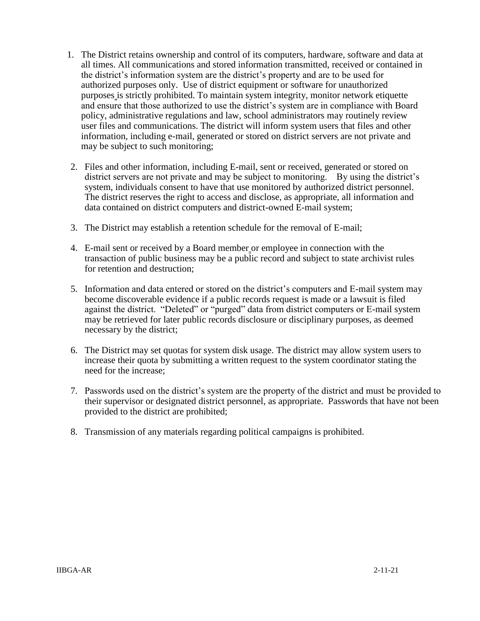- 1. The District retains ownership and control of its computers, hardware, software and data at all times. All communications and stored information transmitted, received or contained in the district's information system are the district's property and are to be used for authorized purposes only. Use of district equipment or software for unauthorized purposes is strictly prohibited. To maintain system integrity, monitor network etiquette and ensure that those authorized to use the district's system are in compliance with Board policy, administrative regulations and law, school administrators may routinely review user files and communications. The district will inform system users that files and other information, including e-mail, generated or stored on district servers are not private and may be subject to such monitoring;
- 2. Files and other information, including E-mail, sent or received, generated or stored on district servers are not private and may be subject to monitoring. By using the district's system, individuals consent to have that use monitored by authorized district personnel. The district reserves the right to access and disclose, as appropriate, all information and data contained on district computers and district-owned E-mail system;
- 3. The District may establish a retention schedule for the removal of E-mail;
- 4. E-mail sent or received by a Board member or employee in connection with the transaction of public business may be a public record and subject to state archivist rules for retention and destruction;
- 5. Information and data entered or stored on the district's computers and E-mail system may become discoverable evidence if a public records request is made or a lawsuit is filed against the district. "Deleted" or "purged" data from district computers or E-mail system may be retrieved for later public records disclosure or disciplinary purposes, as deemed necessary by the district;
- 6. The District may set quotas for system disk usage. The district may allow system users to increase their quota by submitting a written request to the system coordinator stating the need for the increase;
- 7. Passwords used on the district's system are the property of the district and must be provided to their supervisor or designated district personnel, as appropriate. Passwords that have not been provided to the district are prohibited;
- 8. Transmission of any materials regarding political campaigns is prohibited.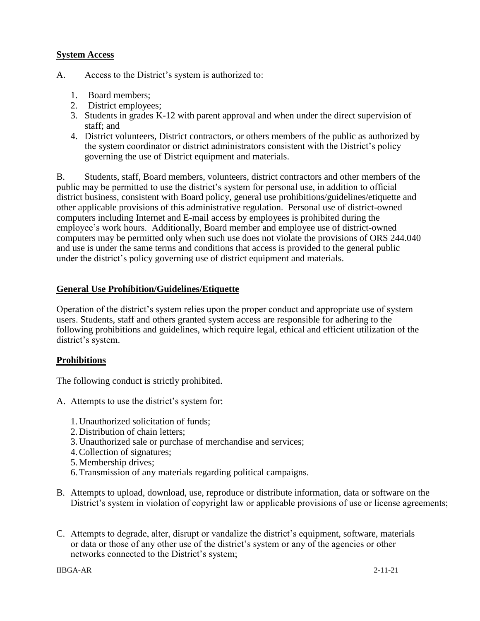#### **System Access**

- A. Access to the District's system is authorized to:
	- 1. Board members;
	- 2. District employees;
	- 3. Students in grades K-12 with parent approval and when under the direct supervision of staff; and
	- 4. District volunteers, District contractors, or others members of the public as authorized by the system coordinator or district administrators consistent with the District's policy governing the use of District equipment and materials.

B. Students, staff, Board members, volunteers, district contractors and other members of the public may be permitted to use the district's system for personal use, in addition to official district business, consistent with Board policy, general use prohibitions/guidelines/etiquette and other applicable provisions of this administrative regulation. Personal use of district-owned computers including Internet and E-mail access by employees is prohibited during the employee's work hours. Additionally, Board member and employee use of district-owned computers may be permitted only when such use does not violate the provisions of ORS 244.040 and use is under the same terms and conditions that access is provided to the general public under the district's policy governing use of district equipment and materials.

#### **General Use Prohibition/Guidelines/Etiquette**

Operation of the district's system relies upon the proper conduct and appropriate use of system users. Students, staff and others granted system access are responsible for adhering to the following prohibitions and guidelines, which require legal, ethical and efficient utilization of the district's system.

#### **Prohibitions**

The following conduct is strictly prohibited.

- A. Attempts to use the district's system for:
	- 1. Unauthorized solicitation of funds;
	- 2. Distribution of chain letters;
	- 3. Unauthorized sale or purchase of merchandise and services;
	- 4.Collection of signatures;
	- 5. Membership drives;
	- 6.Transmission of any materials regarding political campaigns.
- B. Attempts to upload, download, use, reproduce or distribute information, data or software on the District's system in violation of copyright law or applicable provisions of use or license agreements;
- C. Attempts to degrade, alter, disrupt or vandalize the district's equipment, software, materials or data or those of any other use of the district's system or any of the agencies or other networks connected to the District's system;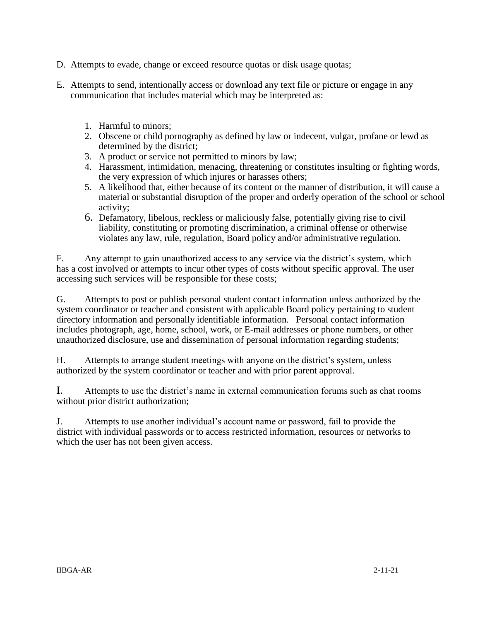- D. Attempts to evade, change or exceed resource quotas or disk usage quotas;
- E. Attempts to send, intentionally access or download any text file or picture or engage in any communication that includes material which may be interpreted as:
	- 1. Harmful to minors;
	- 2. Obscene or child pornography as defined by law or indecent, vulgar, profane or lewd as determined by the district;
	- 3. A product or service not permitted to minors by law;
	- 4. Harassment, intimidation, menacing, threatening or constitutes insulting or fighting words, the very expression of which injures or harasses others;
	- 5. A likelihood that, either because of its content or the manner of distribution, it will cause a material or substantial disruption of the proper and orderly operation of the school or school activity;
	- 6. Defamatory, libelous, reckless or maliciously false, potentially giving rise to civil liability, constituting or promoting discrimination, a criminal offense or otherwise violates any law, rule, regulation, Board policy and/or administrative regulation.

F. Any attempt to gain unauthorized access to any service via the district's system, which has a cost involved or attempts to incur other types of costs without specific approval. The user accessing such services will be responsible for these costs;

G. Attempts to post or publish personal student contact information unless authorized by the system coordinator or teacher and consistent with applicable Board policy pertaining to student directory information and personally identifiable information. Personal contact information includes photograph, age, home, school, work, or E-mail addresses or phone numbers, or other unauthorized disclosure, use and dissemination of personal information regarding students;

H. Attempts to arrange student meetings with anyone on the district's system, unless authorized by the system coordinator or teacher and with prior parent approval.

I. Attempts to use the district's name in external communication forums such as chat rooms without prior district authorization;

J. Attempts to use another individual's account name or password, fail to provide the district with individual passwords or to access restricted information, resources or networks to which the user has not been given access.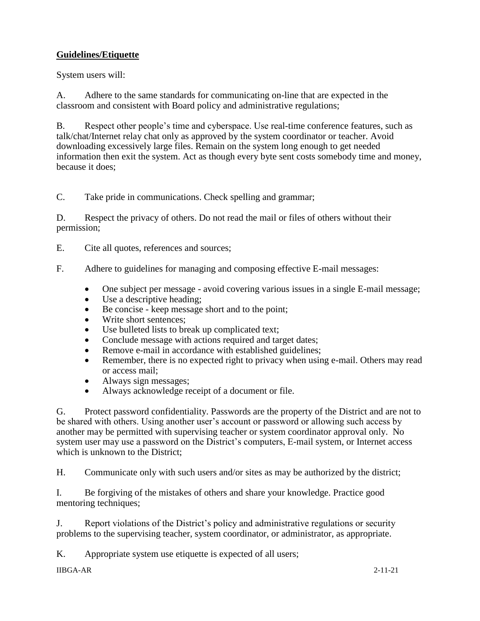# **Guidelines/Etiquette**

System users will:

A. Adhere to the same standards for communicating on-line that are expected in the classroom and consistent with Board policy and administrative regulations;

B. Respect other people's time and cyberspace. Use real-time conference features, such as talk/chat/Internet relay chat only as approved by the system coordinator or teacher. Avoid downloading excessively large files. Remain on the system long enough to get needed information then exit the system. Act as though every byte sent costs somebody time and money, because it does;

C. Take pride in communications. Check spelling and grammar;

D. Respect the privacy of others. Do not read the mail or files of others without their permission;

E. Cite all quotes, references and sources;

- F. Adhere to guidelines for managing and composing effective E-mail messages:
	- One subject per message avoid covering various issues in a single E-mail message;
	- Use a descriptive heading;
	- Be concise keep message short and to the point;
	- Write short sentences;
	- Use bulleted lists to break up complicated text;
	- Conclude message with actions required and target dates;
	- Remove e-mail in accordance with established guidelines;
	- Remember, there is no expected right to privacy when using e-mail. Others may read or access mail;
	- Always sign messages;
	- Always acknowledge receipt of a document or file.

G. Protect password confidentiality. Passwords are the property of the District and are not to be shared with others. Using another user's account or password or allowing such access by another may be permitted with supervising teacher or system coordinator approval only. No system user may use a password on the District's computers, E-mail system, or Internet access which is unknown to the District;

H. Communicate only with such users and/or sites as may be authorized by the district;

I. Be forgiving of the mistakes of others and share your knowledge. Practice good mentoring techniques;

J. Report violations of the District's policy and administrative regulations or security problems to the supervising teacher, system coordinator, or administrator, as appropriate.

K. Appropriate system use etiquette is expected of all users;

IIBGA-AR 2-11-21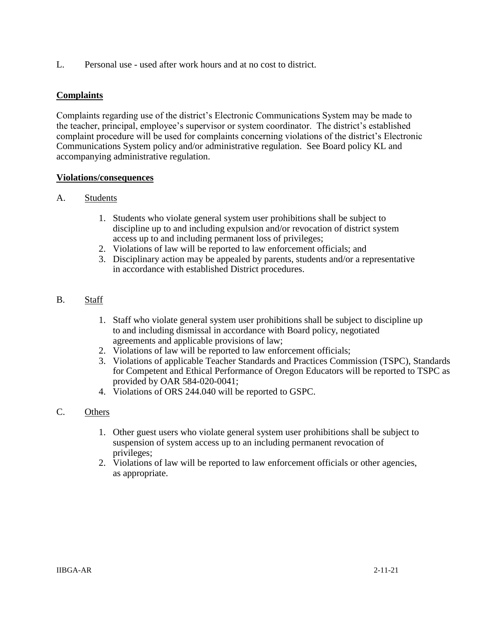L. Personal use - used after work hours and at no cost to district.

## **Complaints**

Complaints regarding use of the district's Electronic Communications System may be made to the teacher, principal, employee's supervisor or system coordinator. The district's established complaint procedure will be used for complaints concerning violations of the district's Electronic Communications System policy and/or administrative regulation. See Board policy KL and accompanying administrative regulation.

#### **Violations/consequences**

#### A. Students

- 1. Students who violate general system user prohibitions shall be subject to discipline up to and including expulsion and/or revocation of district system access up to and including permanent loss of privileges;
- 2. Violations of law will be reported to law enforcement officials; and
- 3. Disciplinary action may be appealed by parents, students and/or a representative in accordance with established District procedures.

## B. Staff

- 1. Staff who violate general system user prohibitions shall be subject to discipline up to and including dismissal in accordance with Board policy, negotiated agreements and applicable provisions of law;
- 2. Violations of law will be reported to law enforcement officials;
- 3. Violations of applicable Teacher Standards and Practices Commission (TSPC), Standards for Competent and Ethical Performance of Oregon Educators will be reported to TSPC as provided by OAR 584-020-0041;
- 4. Violations of ORS 244.040 will be reported to GSPC.

## C. Others

- 1. Other guest users who violate general system user prohibitions shall be subject to suspension of system access up to an including permanent revocation of privileges;
- 2. Violations of law will be reported to law enforcement officials or other agencies, as appropriate.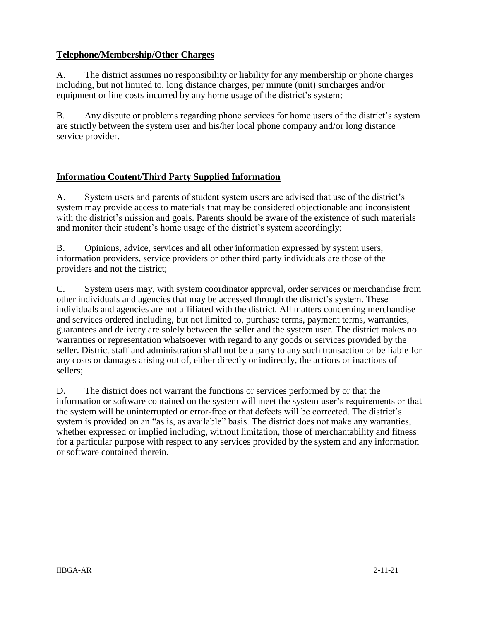## **Telephone/Membership/Other Charges**

A. The district assumes no responsibility or liability for any membership or phone charges including, but not limited to, long distance charges, per minute (unit) surcharges and/or equipment or line costs incurred by any home usage of the district's system;

B. Any dispute or problems regarding phone services for home users of the district's system are strictly between the system user and his/her local phone company and/or long distance service provider.

#### **Information Content/Third Party Supplied Information**

A. System users and parents of student system users are advised that use of the district's system may provide access to materials that may be considered objectionable and inconsistent with the district's mission and goals. Parents should be aware of the existence of such materials and monitor their student's home usage of the district's system accordingly;

B. Opinions, advice, services and all other information expressed by system users, information providers, service providers or other third party individuals are those of the providers and not the district;

C. System users may, with system coordinator approval, order services or merchandise from other individuals and agencies that may be accessed through the district's system. These individuals and agencies are not affiliated with the district. All matters concerning merchandise and services ordered including, but not limited to, purchase terms, payment terms, warranties, guarantees and delivery are solely between the seller and the system user. The district makes no warranties or representation whatsoever with regard to any goods or services provided by the seller. District staff and administration shall not be a party to any such transaction or be liable for any costs or damages arising out of, either directly or indirectly, the actions or inactions of sellers;

D. The district does not warrant the functions or services performed by or that the information or software contained on the system will meet the system user's requirements or that the system will be uninterrupted or error-free or that defects will be corrected. The district's system is provided on an "as is, as available" basis. The district does not make any warranties, whether expressed or implied including, without limitation, those of merchantability and fitness for a particular purpose with respect to any services provided by the system and any information or software contained therein.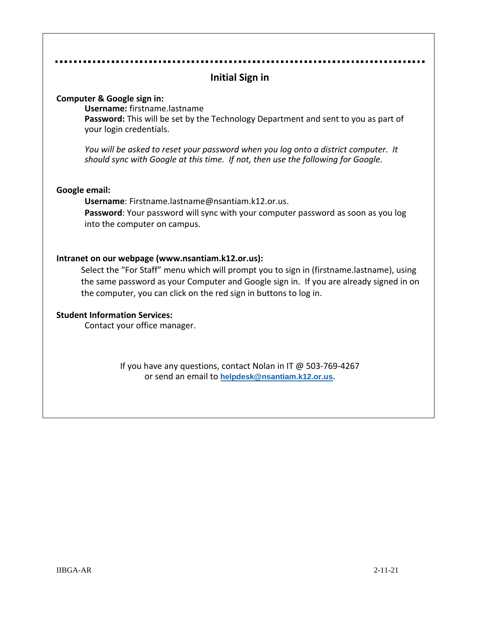|                                                                                                                                                                        | <b>Initial Sign in</b>                                                                                                                                                                                                                                                                                       |  |  |  |  |  |  |  |
|------------------------------------------------------------------------------------------------------------------------------------------------------------------------|--------------------------------------------------------------------------------------------------------------------------------------------------------------------------------------------------------------------------------------------------------------------------------------------------------------|--|--|--|--|--|--|--|
|                                                                                                                                                                        | Computer & Google sign in:<br>Username: firstname.lastname<br>Password: This will be set by the Technology Department and sent to you as part of<br>your login credentials.                                                                                                                                  |  |  |  |  |  |  |  |
| You will be asked to reset your password when you log onto a district computer. It<br>should sync with Google at this time. If not, then use the following for Google. |                                                                                                                                                                                                                                                                                                              |  |  |  |  |  |  |  |
| Google email:                                                                                                                                                          | Username: Firstname.lastname@nsantiam.k12.or.us.<br>Password: Your password will sync with your computer password as soon as you log<br>into the computer on campus.                                                                                                                                         |  |  |  |  |  |  |  |
|                                                                                                                                                                        | Intranet on our webpage (www.nsantiam.k12.or.us):<br>Select the "For Staff" menu which will prompt you to sign in (firstname.lastname), using<br>the same password as your Computer and Google sign in. If you are already signed in on<br>the computer, you can click on the red sign in buttons to log in. |  |  |  |  |  |  |  |
|                                                                                                                                                                        | <b>Student Information Services:</b><br>Contact your office manager.                                                                                                                                                                                                                                         |  |  |  |  |  |  |  |
|                                                                                                                                                                        | If you have any questions, contact Nolan in IT @ 503-769-4267<br>or send an email to helpdesk@nsantiam.k12.or.us.                                                                                                                                                                                            |  |  |  |  |  |  |  |